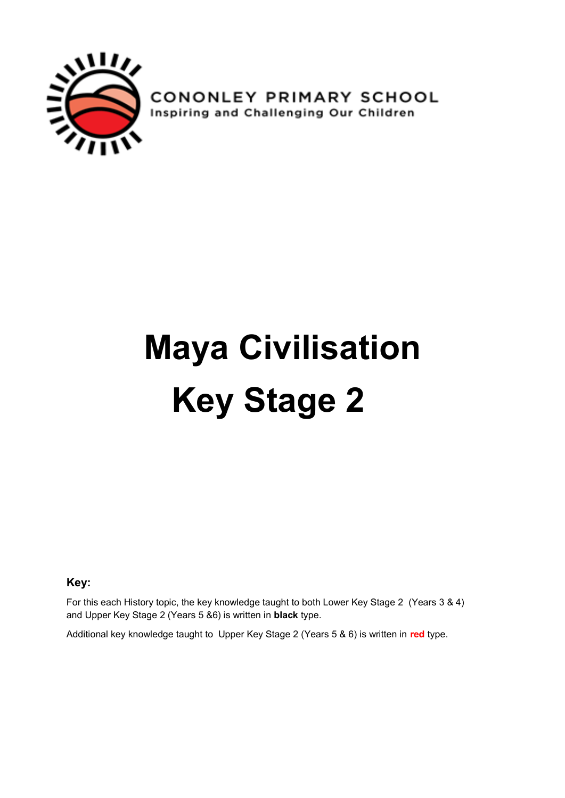

**CONONLEY PRIMARY SCHOOL**<br>Inspiring and Challenging Our Children

## **Maya Civilisation Key Stage 2**

**Key:**

For this each History topic, the key knowledge taught to both Lower Key Stage 2 (Years 3 & 4) and Upper Key Stage 2 (Years 5 &6) is written in **black** type.

Additional key knowledge taught to Upper Key Stage 2 (Years 5 & 6) is written in **red** type.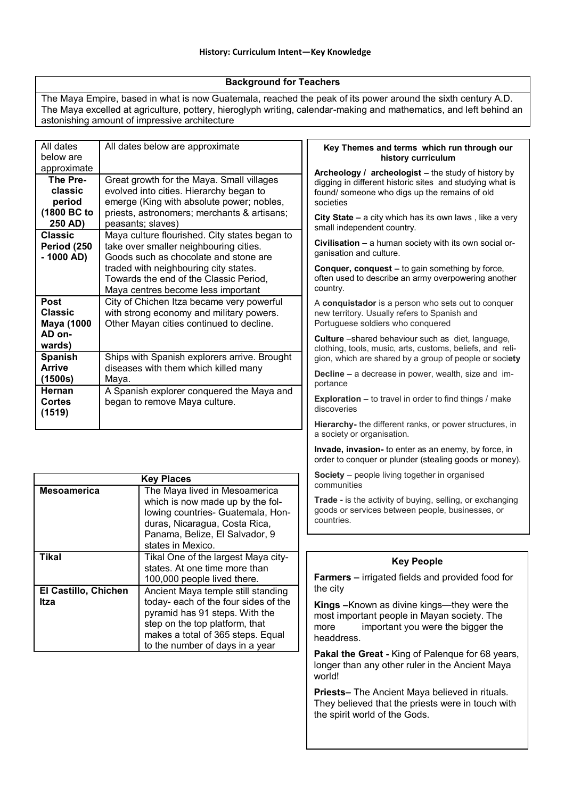## **Background for Teachers**

The Maya Empire, based in what is now Guatemala, reached the peak of its power around the sixth century A.D. The Maya excelled at agriculture, pottery, hieroglyph writing, calendar-making and mathematics, and left behind an astonishing amount of impressive architecture

| All dates<br>below are                             | All dates below are approximate                                                                                                               | Key Themes and terms which run through our<br>history curriculum                                                                                                                                                                                                                                                                                          |  |  |
|----------------------------------------------------|-----------------------------------------------------------------------------------------------------------------------------------------------|-----------------------------------------------------------------------------------------------------------------------------------------------------------------------------------------------------------------------------------------------------------------------------------------------------------------------------------------------------------|--|--|
| approximate                                        |                                                                                                                                               | Archeology / archeologist - the study of history by                                                                                                                                                                                                                                                                                                       |  |  |
| The Pre-<br>classic<br>period                      | Great growth for the Maya. Small villages<br>evolved into cities. Hierarchy began to<br>emerge (King with absolute power; nobles,             | digging in different historic sites and studying what is<br>found/ someone who digs up the remains of old<br>societies                                                                                                                                                                                                                                    |  |  |
| (1800 BC to<br>250 AD)<br><b>Classic</b>           | priests, astronomers; merchants & artisans;<br>peasants; slaves)                                                                              | City State - a city which has its own laws, like a very<br>small independent country.                                                                                                                                                                                                                                                                     |  |  |
| Period (250<br>$-1000 AD$                          | Maya culture flourished. City states began to<br>take over smaller neighbouring cities.<br>Goods such as chocolate and stone are              | Civilisation - a human society with its own social or-<br>ganisation and culture.<br><b>Conquer, conquest - to gain something by force,</b><br>often used to describe an army overpowering another<br>country.<br>A conquistador is a person who sets out to conquer<br>new territory. Usually refers to Spanish and<br>Portuguese soldiers who conquered |  |  |
|                                                    | traded with neighbouring city states.<br>Towards the end of the Classic Period,<br>Maya centres become less important                         |                                                                                                                                                                                                                                                                                                                                                           |  |  |
| <b>Post</b><br><b>Classic</b><br><b>Maya (1000</b> | City of Chichen Itza became very powerful<br>with strong economy and military powers.<br>Other Mayan cities continued to decline.             |                                                                                                                                                                                                                                                                                                                                                           |  |  |
| AD on-<br>wards)<br><b>Spanish</b>                 | Ships with Spanish explorers arrive. Brought                                                                                                  | Culture -shared behaviour such as diet, language,<br>clothing, tools, music, arts, customs, beliefs, and reli-<br>gion, which are shared by a group of people or society                                                                                                                                                                                  |  |  |
| <b>Arrive</b><br>(1500s)                           | diseases with them which killed many<br>Maya.                                                                                                 | <b>Decline - a decrease in power, wealth, size and im-</b><br>portance                                                                                                                                                                                                                                                                                    |  |  |
| Hernan<br><b>Cortes</b><br>(1519)                  | A Spanish explorer conquered the Maya and<br>began to remove Maya culture.                                                                    | <b>Exploration - to travel in order to find things / make</b><br>discoveries                                                                                                                                                                                                                                                                              |  |  |
|                                                    |                                                                                                                                               | Hierarchy- the different ranks, or power structures, in<br>a society or organisation.                                                                                                                                                                                                                                                                     |  |  |
|                                                    |                                                                                                                                               | Invade, invasion- to enter as an enemy, by force, in<br>order to conquer or plunder (stealing goods or money).                                                                                                                                                                                                                                            |  |  |
| <b>Mesoamerica</b>                                 | <b>Key Places</b><br>The Maya lived in Mesoamerica                                                                                            | Society - people living together in organised<br>communities                                                                                                                                                                                                                                                                                              |  |  |
|                                                    | which is now made up by the fol-<br>lowing countries- Guatemala, Hon-<br>duras, Nicaragua, Costa Rica,<br>Panama, Belize, El Salvador, 9      | Trade - is the activity of buying, selling, or exchanging<br>goods or services between people, businesses, or<br>countries.                                                                                                                                                                                                                               |  |  |
|                                                    | states in Mexico.                                                                                                                             |                                                                                                                                                                                                                                                                                                                                                           |  |  |
| <b>Tikal</b>                                       | Tikal One of the largest Maya city-<br>states. At one time more than                                                                          | <b>Key People</b>                                                                                                                                                                                                                                                                                                                                         |  |  |
| El Castillo, Chichen                               | 100,000 people lived there.<br>Ancient Maya temple still standing                                                                             | <b>Farmers – irrigated fields and provided food for</b><br>the city                                                                                                                                                                                                                                                                                       |  |  |
| Itza                                               | today- each of the four sides of the<br>pyramid has 91 steps. With the<br>step on the top platform, that<br>makes a total of 365 steps. Equal | Kings - Known as divine kings-- they were the<br>most important people in Mayan society. The<br>important you were the bigger the<br>more<br>headdress.                                                                                                                                                                                                   |  |  |
|                                                    | to the number of days in a year                                                                                                               | Pakal the Great - King of Palenque for 68 years,<br>longer than any other ruler in the Ancient Maya<br>world!                                                                                                                                                                                                                                             |  |  |
|                                                    |                                                                                                                                               | Priests- The Ancient Maya believed in rituals.<br>They believed that the priests were in touch with                                                                                                                                                                                                                                                       |  |  |

the spirit world of the Gods.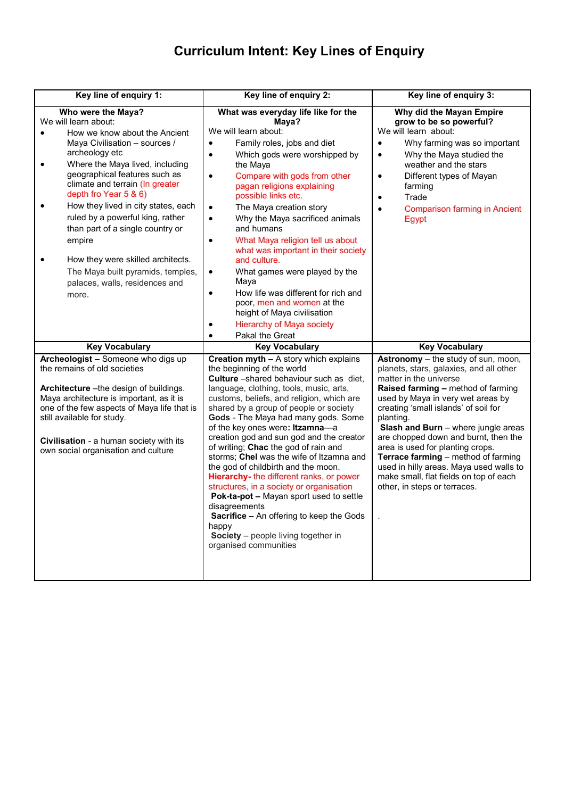## **Curriculum Intent: Key Lines of Enquiry**

| Key line of enquiry 1:                                                                                                                                                                                                                                                                                                                                                                                                                                                                                                    | Key line of enquiry 2:                                                                                                                                                                                                                                                                                                                                                                                                                                                                                                                                                                                                                                                                                                                                                              | Key line of enquiry 3:                                                                                                                                                                                                                                                                                                                                                                                                                                                                                                  |  |
|---------------------------------------------------------------------------------------------------------------------------------------------------------------------------------------------------------------------------------------------------------------------------------------------------------------------------------------------------------------------------------------------------------------------------------------------------------------------------------------------------------------------------|-------------------------------------------------------------------------------------------------------------------------------------------------------------------------------------------------------------------------------------------------------------------------------------------------------------------------------------------------------------------------------------------------------------------------------------------------------------------------------------------------------------------------------------------------------------------------------------------------------------------------------------------------------------------------------------------------------------------------------------------------------------------------------------|-------------------------------------------------------------------------------------------------------------------------------------------------------------------------------------------------------------------------------------------------------------------------------------------------------------------------------------------------------------------------------------------------------------------------------------------------------------------------------------------------------------------------|--|
| Who were the Maya?<br>We will learn about:<br>How we know about the Ancient<br>Maya Civilisation - sources /<br>archeology etc<br>Where the Maya lived, including<br>$\bullet$<br>geographical features such as<br>climate and terrain (In greater<br>depth fro Year 5 & 6)<br>How they lived in city states, each<br>ruled by a powerful king, rather<br>than part of a single country or<br>empire<br>How they were skilled architects.<br>The Maya built pyramids, temples,<br>palaces, walls, residences and<br>more. | What was everyday life like for the<br>Maya?<br>We will learn about:<br>Family roles, jobs and diet<br>$\bullet$<br>Which gods were worshipped by<br>$\bullet$<br>the Maya<br>Compare with gods from other<br>$\bullet$<br>pagan religions explaining<br>possible links etc.<br>The Maya creation story<br>$\bullet$<br>Why the Maya sacrificed animals<br>$\bullet$<br>and humans<br>What Maya religion tell us about<br>$\bullet$<br>what was important in their society<br>and culture.<br>What games were played by the<br>$\bullet$<br>Maya<br>How life was different for rich and<br>$\bullet$<br>poor, men and women at the<br>height of Maya civilisation<br><b>Hierarchy of Maya society</b>                                                                               | Why did the Mayan Empire<br>grow to be so powerful?<br>We will learn about:<br>Why farming was so important<br>$\bullet$<br>Why the Maya studied the<br>$\bullet$<br>weather and the stars<br>Different types of Mayan<br>$\bullet$<br>farming<br>Trade<br>$\bullet$<br><b>Comparison farming in Ancient</b><br>$\bullet$<br>Egypt                                                                                                                                                                                      |  |
| <b>Key Vocabulary</b>                                                                                                                                                                                                                                                                                                                                                                                                                                                                                                     | Pakal the Great<br>$\bullet$<br><b>Key Vocabulary</b>                                                                                                                                                                                                                                                                                                                                                                                                                                                                                                                                                                                                                                                                                                                               | <b>Key Vocabulary</b>                                                                                                                                                                                                                                                                                                                                                                                                                                                                                                   |  |
| Archeologist - Someone who digs up<br>the remains of old societies<br>Architecture - the design of buildings.<br>Maya architecture is important, as it is<br>one of the few aspects of Maya life that is<br>still available for study.<br>Civilisation - a human society with its<br>own social organisation and culture                                                                                                                                                                                                  | Creation myth - A story which explains<br>the beginning of the world<br><b>Culture</b> - shared behaviour such as diet.<br>language, clothing, tools, music, arts,<br>customs, beliefs, and religion, which are<br>shared by a group of people or society<br>Gods - The Maya had many gods. Some<br>of the key ones were: Itzamna-a<br>creation god and sun god and the creator<br>of writing; Chac the god of rain and<br>storms; Chel was the wife of Itzamna and<br>the god of childbirth and the moon.<br>Hierarchy- the different ranks, or power<br>structures, in a society or organisation<br>Pok-ta-pot - Mayan sport used to settle<br>disagreements<br>Sacrifice - An offering to keep the Gods<br>happy<br>Society - people living together in<br>organised communities | Astronomy - the study of sun, moon,<br>planets, stars, galaxies, and all other<br>matter in the universe<br>Raised farming - method of farming<br>used by Maya in very wet areas by<br>creating 'small islands' of soil for<br>planting.<br>Slash and Burn - where jungle areas<br>are chopped down and burnt, then the<br>area is used for planting crops.<br>Terrace farming - method of farming<br>used in hilly areas. Maya used walls to<br>make small, flat fields on top of each<br>other, in steps or terraces. |  |